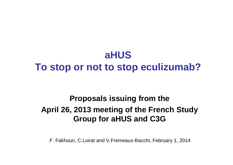# **aHUSTo stop or not to stop eculizumab?**

# **Proposals issuing from the April 26, 2013 meeting of the French Study Group for aHUS and C3G**

F. Fakhouri, C.Loirat and V.Fremeaux-Bacchi, February 1, 2014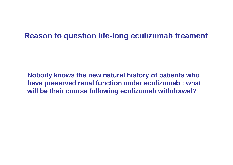# **Reason to question life-long eculizumab treament**

**Nobody knows the new natural history of patients who have preserved renal function under eculizumab : what will be their course following eculizumab withdrawal?**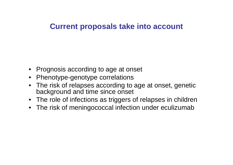# **Current proposals take into account**

- Prognosis according to age at onset
- Phenotype-genotype correlations
- The risk of relapses according to age at onset, genetic background and time since onset
- The role of infections as triggers of relapses in children
- The risk of meningococcal infection under eculizumab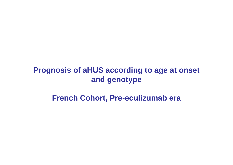# **Prognosis of aHUS according to age at onset and genotype**

# **French Cohort, Pre-eculizumab era**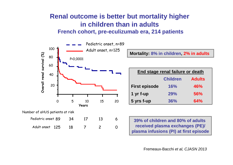### **Renal outcome is better but mortality higher in children than in adults French cohort, pre-eculizumab era, 214 patients**



**Mortality: 8% in children, 2% in adults**

| End stage renal failure or death |                 |               |  |  |  |  |  |  |  |  |
|----------------------------------|-----------------|---------------|--|--|--|--|--|--|--|--|
|                                  | <b>Children</b> | <b>Adults</b> |  |  |  |  |  |  |  |  |
| <b>First episode</b>             | 16%             | 46%           |  |  |  |  |  |  |  |  |
| 1 yr f-up                        | 29%             | 56%           |  |  |  |  |  |  |  |  |
| 5 yrs f-up                       | 36%             | 64%           |  |  |  |  |  |  |  |  |

**39% of children and 80% of adults received plasma exchanges (PE)/plasma infusions (PI) at first episode**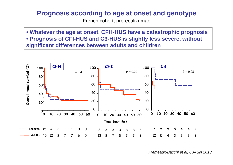### **Prognosis according to age at onset and genotype**

French cohort, pre-eculizumab

• **Whatever the age at onset, CFH-HUS have a catastrophic prognosis**• **Prognosis of CFI-HUS and C3-HUS is slightly less severe, without significant differences between adults and children**

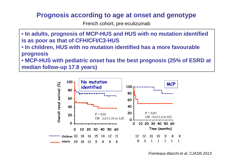### **Prognosis according to age at onset and genotype**

French cohort, pre-eculizumab

- **In adults, prognosis of MCP-HUS and HUS with no mutation identified is as poor as that of CFH/CFI/C3-HUS**
- **In children, HUS with no mutation identified has a more favourable prognosis**

• **MCP-HUS with pediatric onset has the best prognosis (25% of ESRD at median follow-up 17.8 years)**

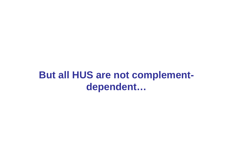# **But all HUS are not complementdependent…**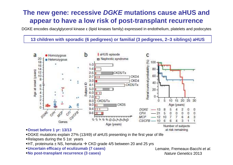# **The new gene: recessive DGKE mutations cause aHUS and appear to have a low risk of post-transplant recurrence**

DGKE encodes diacylglycerol kinase ε (lipid kinases family) expressed in endothelium, platelets and podocytes

#### **13 children with sporadic (6 pedigrees) or familial (3 pedigrees, 2–3 siblings) aHUS**



#### **Onset before 1 yr: 13/13**

at nsk remaining

- DGKE mutations explain 27% (13/49) of aHUS presenting in the first year of life
- Relapses during the 5 1st years
- ■HT, proteinuria ± NS, hematuria → CKD grade 4/5 between 20 and 25 yrs<br>■Uncertain efficacy of eculizumab (7 cases)
- **Uncertain efficacy of eculizumab (7 cases)**
- **No post-transplant recurrence (3 cases)**

Lemaire, Fremeaux-Bacchi et al.Nature Genetics 2013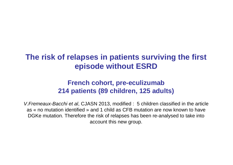# **The risk of relapses in patients surviving the first episode without ESRD**

## **French cohort, pre-eculizumab214 patients (89 children, 125 adults)**

V.Fremeaux-Bacchi et al, CJASN 2013, modified : 5 children classified in the article as « no mutation identified » and 1 child as CFB mutation are now known to have DGKe mutation. Therefore the risk of relapses has been re-analysed to take into account this new group.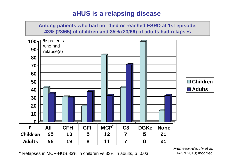## **aHUS is a relapsing disease**

**Among patients who had not died or reached ESRD at 1st episode,43% (28/65) of children and 35% (23/66) of adults had relapses**



Relapses in MCP-HUS:83% in children vs 33% in adults, p=0.03

**\***

Fremeaux-Bacchi et al, CJASN 2013; modified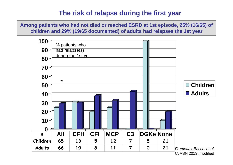### **The risk of relapse during the first year**

Among patients who had not died or reached ESRD at 1st episode, 25% (16/65) of **children and 29% (19/65 documented) of adults had relapses the 1st year**



CJASN 2013, modified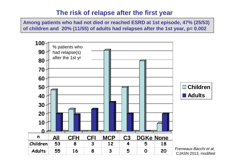### **The risk of relapse after the first year**

**Among patients who had not died or reached ESRD at 1st episode, 47% (25/53)** of children and 20% (11/55) of adults had relapses after the 1st year, p= 0.002

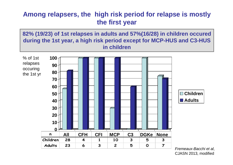# **Among relapsers, the high risk period for relapse is mostly the first year**

**82% (19/23) of 1st relapses in adults and 57%(16/28) in children occured during the 1st year, a high risk period except for MCP-HUS and C3-HUS in children**



Fremeaux-Bacchi et al, CJASN 2013, modified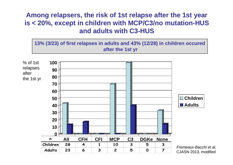## **Among relapsers, the risk of 1st relapse after the 1st year is < 20%, except in children with MCP/C3/no mutation-HUS and adults with C3-HUS**

**13% (3/23) of first relapses in adults and 43% (12/28) in children occuredafter the 1st yr**

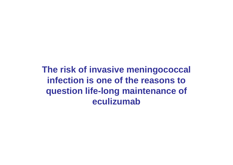**The risk of invasive meningococcal infection is one of the reasons to question life-long maintenance of eculizumab**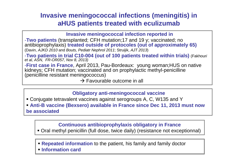## **Invasive meningococcal infections (meningitis) in aHUS patients treated with eculizumab**

**Invasive meningococcal infection reported in**

 -**Two patients** (transplanted; CFH mutation;17 and 19 y; vaccinated; no antibioprophylaxis) **treated outside of protocoles (out of approximately 65)**  (Davin, *AJKD 2010* and *Bouts, Pediatr Nephrol 2011*; Struijik, *AJT 2013*)

-**Two patients in trial C10-004 (out of 100 patients treated within trials)** (Fakhouri et al, ASN, FR-OR057, Nov 8, 2013)

-**First case in France**, April 2013, Pau-Bordeaux: young woman;HUS on native kidneys; CFH mutation; vaccinated and on prophylactic methyl-penicilline (penicilline resistant meningococcus)

→ Favourable outcome in all

#### **Obligatory anti-meningococcal vaccine**

Conjugate tetravalent vaccines against serogroups A, C, W135 and Y

 **Anti-B vaccine (Bexsero) available in France since Dec 11, 2013 must now be associated**

#### **Continuous antibioprophylaxis obligatory in France**

Oral methyl penicillin (full dose, twice daily) (resistance not exceptionnal)

 **Repeated information** to the patient, his family and family doctor **Information card**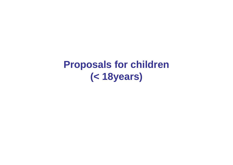**Proposals for children(< 18years)**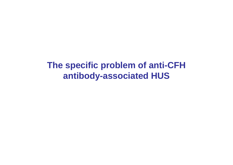**The specific problem of anti-CFH antibody-associated HUS**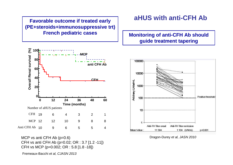**Favorable outcome if treated early (PE+steroids+immunosuppressive trt)French pediatric cases**

### **aHUS with anti-CFH Ab**

#### **Monitoring of anti-CFH Ab should guide treatment tapering**



MCP vs anti CFH Ab (p=0.6) CFH vs anti CFH Ab (p=0.02; OR : 3.7 [1.2 -11]) CFH vs MCP (p=0.002; OR : 5.8 [1.8 -18])



Dragon-Durey et al, JASN 2010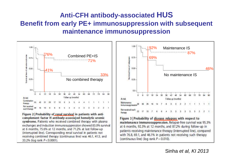# **Anti-CFH antibody-associated HUS Benefit from early PE+ immunosuppression with subsequent maintenance immunosuppression**



Figure 2 | Probability of renal survival in patients with anticomplement factor H antibody-associated hemolytic uremic syndrome. Patients who received combined therapy with plasma exchanges and induction immunosuppression showed 83.0% survival at 6 months, 75,6% at 12 months, and 71,2% at last follow-up (interrupted line). Corresponding renal survival in patients not receiving combined therapy (continuous line) was 46.1, 41.5, and 33.2% (log rank P < 0.0001).



Sinha et al, KI 2013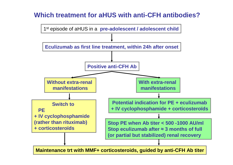# **Which treatment for aHUS with anti-CFH antibodies?**

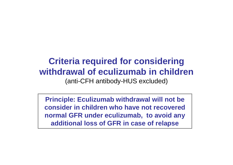# **Criteria required for considering withdrawal of eculizumab in children** (anti-CFH antibody-HUS excluded)

**Principle: Eculizumab withdrawal will not be consider in children who have not recovered normal GFR under eculizumab, to avoid any additional loss of GFR in case of relapse**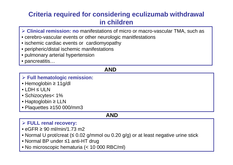# **Criteria required for considering eculizumab withdrawal in children**

- **Clinical remission: no** manifestations of micro or macro-vascular TMA, such as
- cerebro-vascular events or other neurologic manitfestations
- ischemic cardiac events or cardiomyopathy
- peripheric/distal ischemic manifestations
- pulmonary arterial hypertension
- pancreatitis…

### **AND**

- **Full hematologic remission:**
- Hemoglobin ≥ 11g/dl
- LDH ≤ ULN
- Schizocytes< 1%
- Haptoglobin ≥ LLN
- Plaquettes ≥150 000/mm3

### **AND**

# **FULL renal recovery:**

- eGFR ≥ 90 ml/min/1.73 m2
- Normal U prot/creat (≤ 0.02 g/mmol ou 0.20 g/g) or at least negative urine stick
- Normal BP under ≤1 anti-HT drug
- No microscopic hematuria (< 10 000 RBC/ml)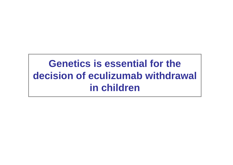# **Genetics is essential for the decision of eculizumab withdrawal in children**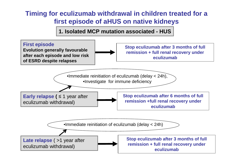# **Timing for eculizumab withdrawal in children treated for a first episode of aHUS on native kidneys**

**1. Isolated MCP mutation associated - HUS**

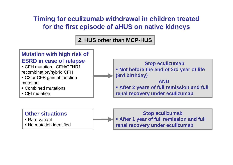### **Timing for eculizumab withdrawal in children treated for the first episode of aHUS on native kidneys**

**2. HUS other than MCP-HUS**



- Combined mutations
- CFI mutation



### **Other situations**

- Rare variant
- No mutation identified

**Stop eculizumab After 1 year of full remission and full renal recovery under eculizumab**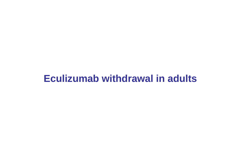# **Eculizumab withdrawal in adults**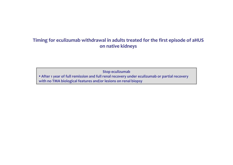#### **Timing for eculizumab withdrawal in adults treated for the first episode of aHUS on native kidneys**

**Stop eculizumab**

 **After 1 year of full remission and full renal recovery under eculizumab or partial recovery with no TMA biological features and/or lesions on renal biopsy**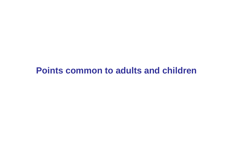# **Points common to adults and children**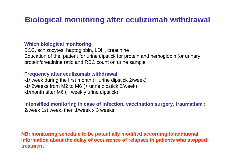# **Biological monitoring after eculizumab withdrawal**

#### **Which biological monitoring**

BCC, schizocytes, haptoglobin, LDH, creatinine Education of the patient for urine dipstick for protein and hemoglobin (or urinary protein/creatinine ratio and RBC count on urine sample

#### **Frequency after eculizumab withdrawal**

-1/ week during the first month (+ urine dipstick 2/week)

- -1/ 2weeks from M2 to M6 (+ urine dipstick 2/week)
- -1/month after M6 (+ weekly urine dipstick)

**Intensified monitoring in case of infection, vaccination,surgery, traumatism :** 2/week 1st week, then 1/week x 3 weeks

**NB: monitoring schedule to be potentially modified according to additional information about the delay of occurrence of relapses in patients who stopped treatment**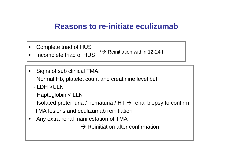# **Reasons to re-initiate eculizumab**

- •Complete triad of HUS
- Incomplete triad of HUS•

→ Reinitiation within 12-24 h

- $\bullet$  Signs of sub clinical TMA: Normal Hb, platelet count and creatinine level but
	- LDH >ULN
	- Haptoglobin < LLN
	- Isolated proteinur Isolated proteinuria / hematuria / HT  $\rightarrow$  renal biopsy to confirm TMA lesions and eculizumab reinitiation
- •Any extra-renal manifestation of TMA

→ Reinitiation after confirmation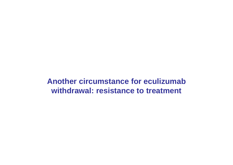**Another circumstance for eculizumab withdrawal: resistance to treatment**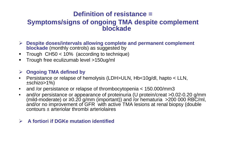### **Definition of resistance = Symptoms/signs of ongoing TMA despite complement blockade**

- **Despite doses/intervals allowing complete and permanent complement** <br>**blockade** (monthly controls) as suggested by **blockade** (monthly controls) as suggested by
- Trough CH50 < 10% (according to technique)
- Trough free eculizumab level >150ug/ml

# **Ongoing TMA defined by**

- $\bullet$  Persistance or relapse of hemolysis (LDH>ULN, Hb<10g/dl, hapto < LLN, ±schizo>1%)
- $\bullet$ and /or persistance or relapse of thrombocytopenia < 150.000/mm3
- and/or persistance or appearance of proteinuria (U protein/creat >0.02-0.20 g/mm  $\bullet$ (mild-moderate) or  $\geq$ 0.20 g/mm (important)) and /or hematuria >200 000 RBC/ml, (mild-moderate) or ≥0.20 g/mm (important)) and /or hematuria >200 000 RBC/ml,<br>and/or no improvement of GFR with active TMA lesions at renal biopsy (double contours ± arteriolar thrombi arteriolaires

#### $\blacktriangleright$ **A fortiori if DGKe mutation identified**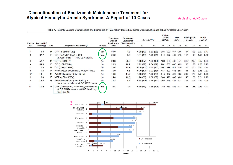#### Discontinuation of Eculizumab Maintenance Treatment for Atypical Hemolytic Uremic Syndrome: A Report of 10 Cases

| Patient<br>No. | Age at aHUS<br>Onset $(y)$ | <b>Sex</b> | Complement Abnormality <sup>8</sup>                                                                              | Relapse   | <b>Time Since</b><br>Start of<br>Eculizumab<br>(mo) | <b>Duration of</b><br>Eculizumab<br><b>Discontinuation</b><br>(mo) | Scr (eGFR <sup>b</sup> ) |                | <b>Platelet</b><br>Count<br>$(10^3/\mu L)$ |                | LDH<br>(IU/L) |           | <b>Haptoglobin</b><br>(mg/dL) |                | <b>UPCR</b><br>(mg/mg) |                |
|----------------|----------------------------|------------|------------------------------------------------------------------------------------------------------------------|-----------|-----------------------------------------------------|--------------------------------------------------------------------|--------------------------|----------------|--------------------------------------------|----------------|---------------|-----------|-------------------------------|----------------|------------------------|----------------|
|                |                            |            |                                                                                                                  |           |                                                     |                                                                    | T1                       | T <sub>2</sub> | T1                                         | T <sub>2</sub> | T1            | <b>T2</b> | T1                            | T <sub>2</sub> | T1                     | T <sub>2</sub> |
|                | 4.3                        | M          | CFH (n.Ser1191Leu)                                                                                               | Yes       | 31.0                                                | 1.5                                                                | 0.92(49)                 | 0.80(58)       | 334                                        | 290            | 367           | 206       | 97                            | 103            | 0.67                   | 0.17           |
| 2              | 37.7                       | F          | CFH $()$ .Arg1210Cvs $) + CFI$<br>$(p.A$ sp519Asn) + THBD $(p.A$ la43Thr)                                        | Yes       | 25.2                                                | 0.9                                                                | 1.41(44)                 | 1.25(51)       | 244                                        | 227            | 482           | 219       | 117                           | 94             |                        | 1.53 0.96      |
| 3              | 52.7                       | М          | $U$ ri (p. let $(40$ Thr)                                                                                        | No        | 24.3                                                | 22.7                                                               | 1.03(97)                 | 1.00 (100)     | 180                                        | 256            | 467           | 371       | 312                           | 292            | <b>NA</b>              | 0.08           |
|                | 34.8                       | F          | CFI (p.Gly269Ser)                                                                                                | No        | 21.5                                                | 10.1                                                               | 2.72(29)                 | 2.54(22)       | 281                                        | 286            | 406           | 403       | 98                            | 88             | 1.38                   | 0.70           |
| 5              | 2.6                        | M          | CFI (p.Asp519Asn)                                                                                                | <b>No</b> | 21.4                                                | 15.9                                                               | 0.38(132)                | 0.44(117)      | 261                                        | 299            | 517           | 426       | 68                            | 105            | 0.35                   | 0.24           |
| 6              | 1.3                        | F          | Homozygous deletion at CFHR3/R1 locus                                                                            | <b>No</b> | 19.9                                                | 6.5                                                                | 0.29(128)                | 0.27(138)      | 447                                        | 390            | 688           | 654       | 91                            | 60             | 3.46                   | 2.32           |
| 7 <sup>c</sup> | 19.1                       | M          | Anti-CFH antibody (titer, 27 IU)                                                                                 | <b>No</b> | 19.8                                                | 14.2                                                               | 1.33(72)                 | 1.20 (79)      | 245                                        | 167            | 390           | 325       | 236                           | 178            | 0.14                   | 0.08           |
| 8              | 5.4                        | F.         | MCP (p.Phe175Val)                                                                                                | <b>No</b> | 14.0                                                | 13.5                                                               | 1.28(36)                 | 0.52(89)       | 300                                        | 420            | 682           | 423       | 46                            | 78             | 3.21                   | 0.20           |
| 9              | 13.3                       | м          | Anti-CFH antibody (titer, $100$ IU) +<br>homozygous deletion at CFHR3/R1 locus                                   | <b>No</b> | 11.2                                                | 8.6                                                                | 0.64(110)                | 0.58(122)      | 268                                        | 298            | 435           | 371       | 108                           | 106            | 0.22                   | 0.19           |
| 10             | 10.9                       | F          | CFH ( $\mu$ .Gin950His) + homozygous deletion<br>at $C$ FHR3/R1 locus + anti-CFH antibody<br>$230$ IU)<br>(titer | Yes       | 6.4                                                 | 1.2                                                                | 0.95(73)                 | 0.66(105)      | 180                                        | 239            | 466           | 221       | 88                            | 88             |                        | $0.45$ 0.12    |

Table 1. Patients' Baseline Characteristics and Biomarkers of TMA Activity Before Eculizumab Discontinuation and at Last Available Observation